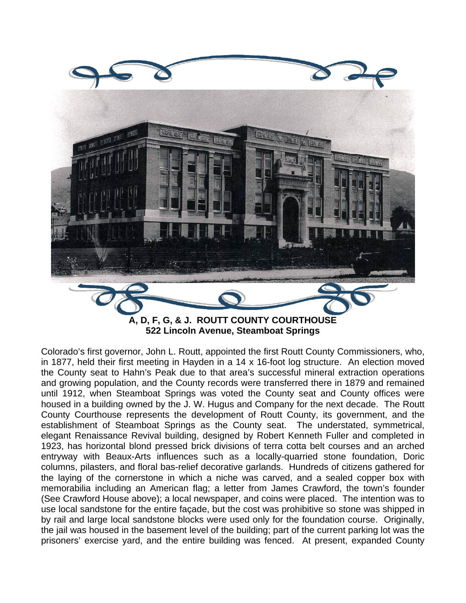

**522 Lincoln Avenue, Steamboat Springs** 

Colorado's first governor, John L. Routt, appointed the first Routt County Commissioners, who, in 1877, held their first meeting in Hayden in a 14 x 16-foot log structure. An election moved the County seat to Hahn's Peak due to that area's successful mineral extraction operations and growing population, and the County records were transferred there in 1879 and remained until 1912, when Steamboat Springs was voted the County seat and County offices were housed in a building owned by the J. W. Hugus and Company for the next decade. The Routt County Courthouse represents the development of Routt County, its government, and the establishment of Steamboat Springs as the County seat. The understated, symmetrical, elegant Renaissance Revival building, designed by Robert Kenneth Fuller and completed in 1923, has horizontal blond pressed brick divisions of terra cotta belt courses and an arched entryway with Beaux-Arts influences such as a locally-quarried stone foundation, Doric columns, pilasters, and floral bas-relief decorative garlands. Hundreds of citizens gathered for the laying of the cornerstone in which a niche was carved, and a sealed copper box with memorabilia including an American flag; a letter from James Crawford, the town's founder (See Crawford House above); a local newspaper, and coins were placed. The intention was to use local sandstone for the entire façade, but the cost was prohibitive so stone was shipped in by rail and large local sandstone blocks were used only for the foundation course. Originally, the jail was housed in the basement level of the building; part of the current parking lot was the prisoners' exercise yard, and the entire building was fenced. At present, expanded County